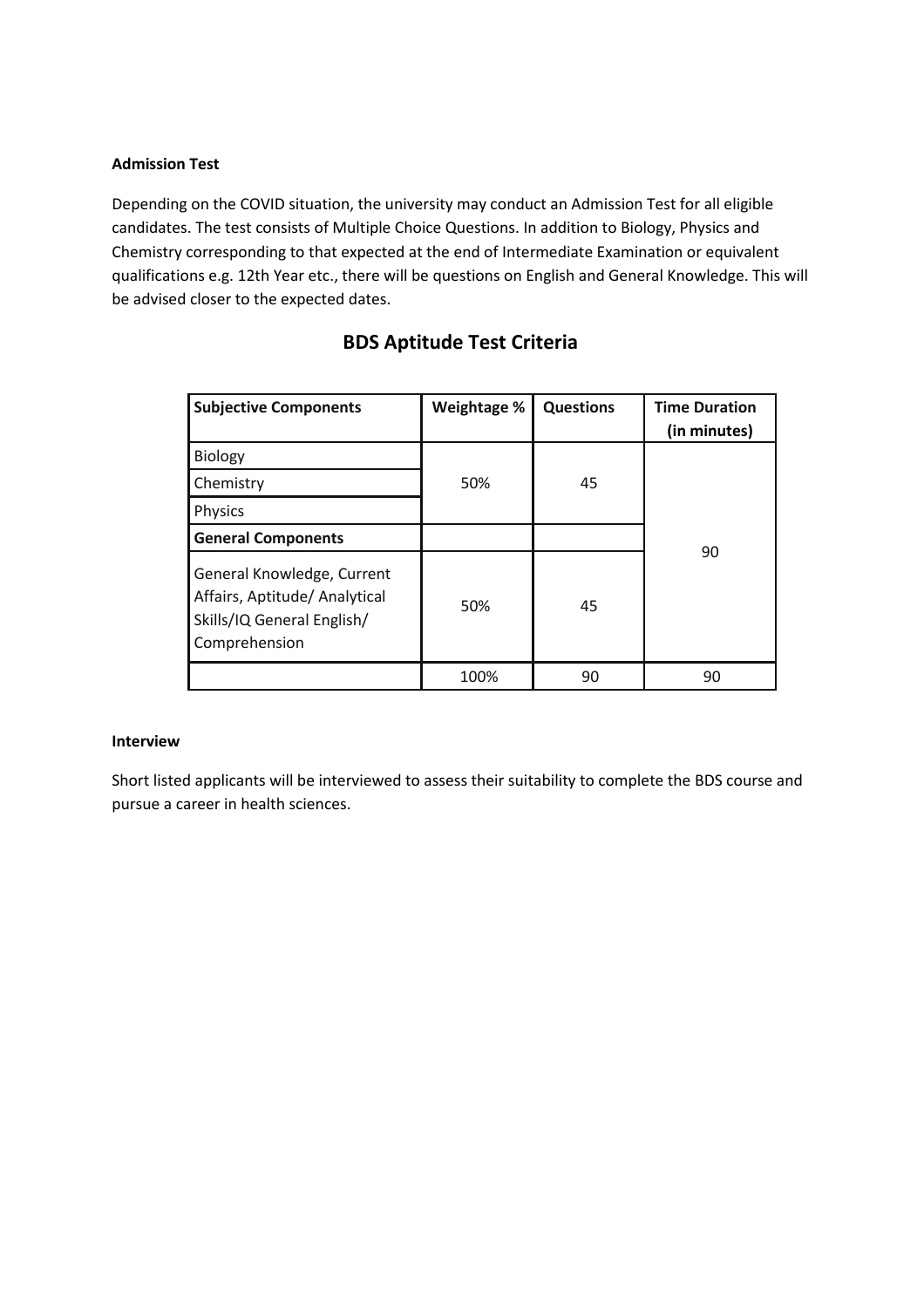### **Admission Test**

Depending on the COVID situation, the university may conduct an Admission Test for all eligible candidates. The test consists of Multiple Choice Questions. In addition to Biology, Physics and Chemistry corresponding to that expected at the end of Intermediate Examination or equivalent qualifications e.g. 12th Year etc., there will be questions on English and General Knowledge. This will be advised closer to the expected dates.

| <b>Subjective Components</b>                                                                               | Weightage % | <b>Questions</b> | <b>Time Duration</b><br>(in minutes) |
|------------------------------------------------------------------------------------------------------------|-------------|------------------|--------------------------------------|
| Biology                                                                                                    |             |                  |                                      |
| Chemistry                                                                                                  | 50%         | 45               |                                      |
| Physics                                                                                                    |             |                  |                                      |
| <b>General Components</b>                                                                                  |             |                  | 90                                   |
| General Knowledge, Current<br>Affairs, Aptitude/ Analytical<br>Skills/IQ General English/<br>Comprehension | 50%         | 45               |                                      |
|                                                                                                            | 100%        | 90               | 90                                   |

# **BDS Aptitude Test Criteria**

#### **Interview**

Short listed applicants will be interviewed to assess their suitability to complete the BDS course and pursue a career in health sciences.